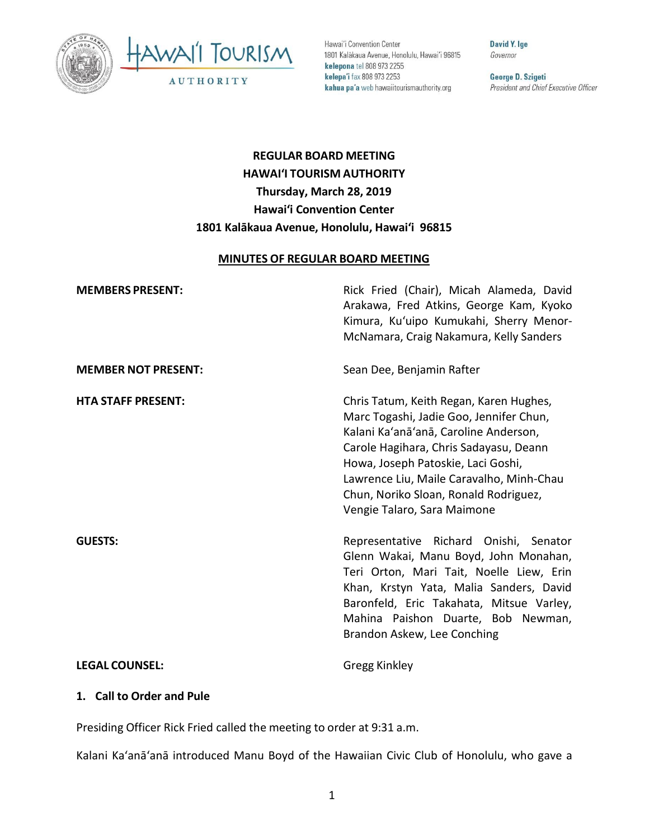



Hawai'i Convention Center 1801 Kalākaua Avenue, Honolulu, Hawai'i 96815 kelepona tel 808 973 2255 kelepa'i fax 808 973 2253 kahua pa'a web hawaiitourismauthority.org

David Y. Ige Governor

George D. Szigeti President and Chief Executive Officer

# **REGULAR BOARD MEETING HAWAI'I TOURISM AUTHORITY Thursday, March 28, 2019 Hawai'i Convention Center 1801 Kalākaua Avenue, Honolulu, Hawai'i 96815**

#### **MINUTES OF REGULAR BOARD MEETING**

| <b>MEMBERS PRESENT:</b>    | Rick Fried (Chair), Micah Alameda, David<br>Arakawa, Fred Atkins, George Kam, Kyoko<br>Kimura, Ku'uipo Kumukahi, Sherry Menor-<br>McNamara, Craig Nakamura, Kelly Sanders                                                                                                                                                       |
|----------------------------|---------------------------------------------------------------------------------------------------------------------------------------------------------------------------------------------------------------------------------------------------------------------------------------------------------------------------------|
| <b>MEMBER NOT PRESENT:</b> | Sean Dee, Benjamin Rafter                                                                                                                                                                                                                                                                                                       |
| <b>HTA STAFF PRESENT:</b>  | Chris Tatum, Keith Regan, Karen Hughes,<br>Marc Togashi, Jadie Goo, Jennifer Chun,<br>Kalani Ka'anā'anā, Caroline Anderson,<br>Carole Hagihara, Chris Sadayasu, Deann<br>Howa, Joseph Patoskie, Laci Goshi,<br>Lawrence Liu, Maile Caravalho, Minh-Chau<br>Chun, Noriko Sloan, Ronald Rodriguez,<br>Vengie Talaro, Sara Maimone |
| <b>GUESTS:</b>             | Representative Richard Onishi, Senator<br>Glenn Wakai, Manu Boyd, John Monahan,<br>Teri Orton, Mari Tait, Noelle Liew, Erin<br>Khan, Krstyn Yata, Malia Sanders, David<br>Baronfeld, Eric Takahata, Mitsue Varley,<br>Mahina Paishon Duarte, Bob Newman,<br>Brandon Askew, Lee Conching                                         |
| <b>LEGAL COUNSEL:</b>      | Gregg Kinkley                                                                                                                                                                                                                                                                                                                   |

#### **1. Call to Order and Pule**

Presiding Officer Rick Fried called the meeting to order at 9:31 a.m.

Kalani Ka'anā'anā introduced Manu Boyd of the Hawaiian Civic Club of Honolulu, who gave a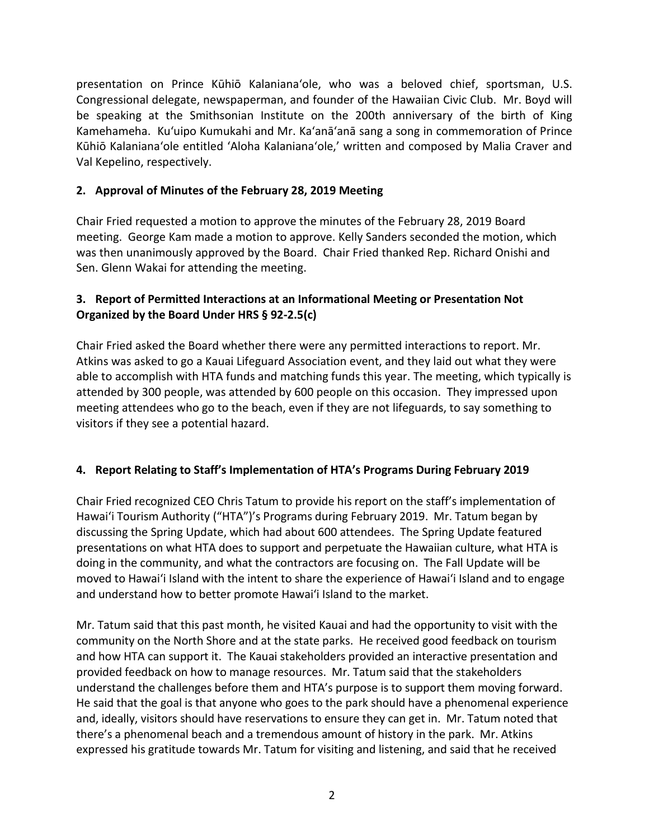presentation on Prince Kūhiō Kalanianaʻole, who was a beloved chief, sportsman, U.S. Congressional delegate, newspaperman, and founder of the Hawaiian Civic Club. Mr. Boyd will be speaking at the Smithsonian Institute on the 200th anniversary of the birth of King Kamehameha. Ku'uipo Kumukahi and Mr. Ka'anā'anā sang a song in commemoration of Prince Kūhiō Kalanianaʻole entitled 'Aloha Kalanianaʻole,' written and composed by Malia Craver and Val Kepelino, respectively.

## **2. Approval of Minutes of the February 28, 2019 Meeting**

Chair Fried requested a motion to approve the minutes of the February 28, 2019 Board meeting. George Kam made a motion to approve. Kelly Sanders seconded the motion, which was then unanimously approved by the Board. Chair Fried thanked Rep. Richard Onishi and Sen. Glenn Wakai for attending the meeting.

### **3. Report of Permitted Interactions at an Informational Meeting or Presentation Not Organized by the Board Under HRS § 92-2.5(c)**

Chair Fried asked the Board whether there were any permitted interactions to report. Mr. Atkins was asked to go a Kauai Lifeguard Association event, and they laid out what they were able to accomplish with HTA funds and matching funds this year. The meeting, which typically is attended by 300 people, was attended by 600 people on this occasion. They impressed upon meeting attendees who go to the beach, even if they are not lifeguards, to say something to visitors if they see a potential hazard.

# **4. Report Relating to Staff's Implementation of HTA's Programs During February 2019**

Chair Fried recognized CEO Chris Tatum to provide his report on the staff's implementation of Hawai'i Tourism Authority ("HTA")'s Programs during February 2019. Mr. Tatum began by discussing the Spring Update, which had about 600 attendees. The Spring Update featured presentations on what HTA does to support and perpetuate the Hawaiian culture, what HTA is doing in the community, and what the contractors are focusing on. The Fall Update will be moved to Hawai'i Island with the intent to share the experience of Hawai'i Island and to engage and understand how to better promote Hawai'i Island to the market.

Mr. Tatum said that this past month, he visited Kauai and had the opportunity to visit with the community on the North Shore and at the state parks. He received good feedback on tourism and how HTA can support it. The Kauai stakeholders provided an interactive presentation and provided feedback on how to manage resources. Mr. Tatum said that the stakeholders understand the challenges before them and HTA's purpose is to support them moving forward. He said that the goal is that anyone who goes to the park should have a phenomenal experience and, ideally, visitors should have reservations to ensure they can get in. Mr. Tatum noted that there's a phenomenal beach and a tremendous amount of history in the park. Mr. Atkins expressed his gratitude towards Mr. Tatum for visiting and listening, and said that he received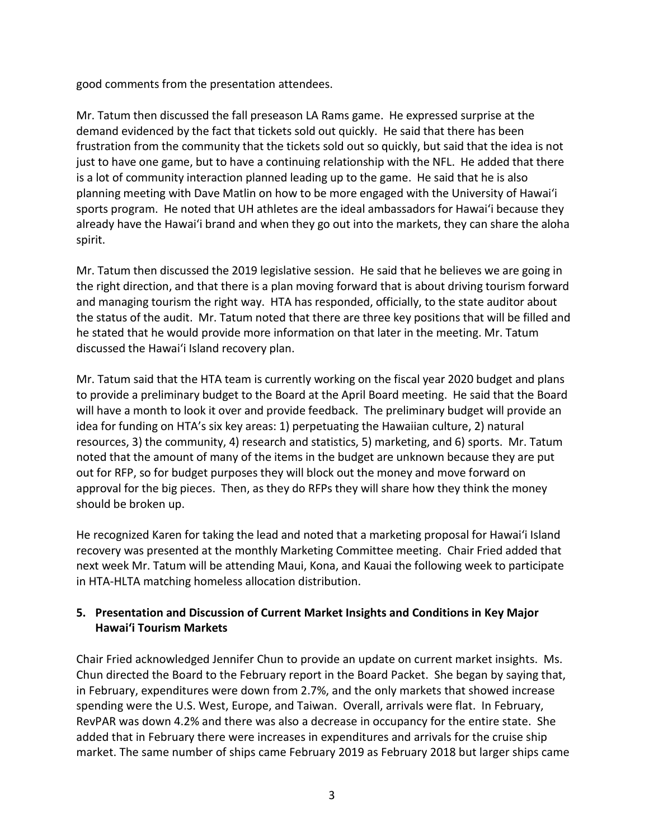good comments from the presentation attendees.

Mr. Tatum then discussed the fall preseason LA Rams game. He expressed surprise at the demand evidenced by the fact that tickets sold out quickly. He said that there has been frustration from the community that the tickets sold out so quickly, but said that the idea is not just to have one game, but to have a continuing relationship with the NFL. He added that there is a lot of community interaction planned leading up to the game. He said that he is also planning meeting with Dave Matlin on how to be more engaged with the University of Hawai'i sports program. He noted that UH athletes are the ideal ambassadors for Hawai'i because they already have the Hawai'i brand and when they go out into the markets, they can share the aloha spirit.

Mr. Tatum then discussed the 2019 legislative session. He said that he believes we are going in the right direction, and that there is a plan moving forward that is about driving tourism forward and managing tourism the right way. HTA has responded, officially, to the state auditor about the status of the audit. Mr. Tatum noted that there are three key positions that will be filled and he stated that he would provide more information on that later in the meeting. Mr. Tatum discussed the Hawai'i Island recovery plan.

Mr. Tatum said that the HTA team is currently working on the fiscal year 2020 budget and plans to provide a preliminary budget to the Board at the April Board meeting. He said that the Board will have a month to look it over and provide feedback. The preliminary budget will provide an idea for funding on HTA's six key areas: 1) perpetuating the Hawaiian culture, 2) natural resources, 3) the community, 4) research and statistics, 5) marketing, and 6) sports. Mr. Tatum noted that the amount of many of the items in the budget are unknown because they are put out for RFP, so for budget purposes they will block out the money and move forward on approval for the big pieces. Then, as they do RFPs they will share how they think the money should be broken up.

He recognized Karen for taking the lead and noted that a marketing proposal for Hawai'i Island recovery was presented at the monthly Marketing Committee meeting. Chair Fried added that next week Mr. Tatum will be attending Maui, Kona, and Kauai the following week to participate in HTA-HLTA matching homeless allocation distribution.

### **5. Presentation and Discussion of Current Market Insights and Conditions in Key Major Hawai'i Tourism Markets**

Chair Fried acknowledged Jennifer Chun to provide an update on current market insights. Ms. Chun directed the Board to the February report in the Board Packet. She began by saying that, in February, expenditures were down from 2.7%, and the only markets that showed increase spending were the U.S. West, Europe, and Taiwan. Overall, arrivals were flat. In February, RevPAR was down 4.2% and there was also a decrease in occupancy for the entire state. She added that in February there were increases in expenditures and arrivals for the cruise ship market. The same number of ships came February 2019 as February 2018 but larger ships came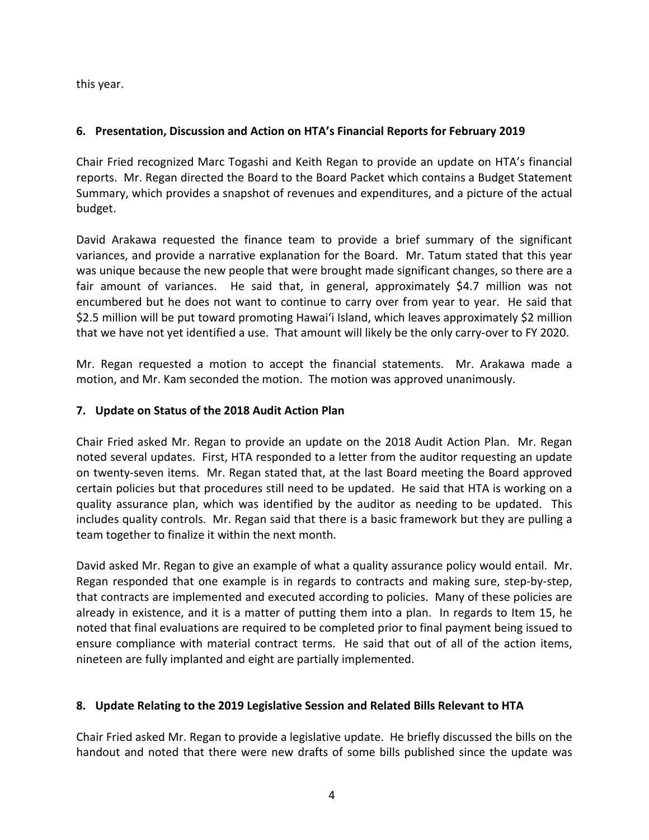this year.

### **6. Presentation, Discussion and Action on HTA's Financial Reports for February 2019**

Chair Fried recognized Marc Togashi and Keith Regan to provide an update on HTA's financial reports. Mr. Regan directed the Board to the Board Packet which contains a Budget Statement Summary, which provides a snapshot of revenues and expenditures, and a picture of the actual budget.

David Arakawa requested the finance team to provide a brief summary of the significant variances, and provide a narrative explanation for the Board. Mr. Tatum stated that this year was unique because the new people that were brought made significant changes, so there are a fair amount of variances. He said that, in general, approximately \$4.7 million was not encumbered but he does not want to continue to carry over from year to year. He said that \$2.5 million will be put toward promoting Hawai'i Island, which leaves approximately \$2 million that we have not yet identified a use. That amount will likely be the only carry-over to FY 2020.

Mr. Regan requested a motion to accept the financial statements. Mr. Arakawa made a motion, and Mr. Kam seconded the motion. The motion was approved unanimously.

#### **7. Update on Status of the 2018 Audit Action Plan**

Chair Fried asked Mr. Regan to provide an update on the 2018 Audit Action Plan. Mr. Regan noted several updates. First, HTA responded to a letter from the auditor requesting an update on twenty-seven items. Mr. Regan stated that, at the last Board meeting the Board approved certain policies but that procedures still need to be updated. He said that HTA is working on a quality assurance plan, which was identified by the auditor as needing to be updated. This includes quality controls. Mr. Regan said that there is a basic framework but they are pulling a team together to finalize it within the next month.

David asked Mr. Regan to give an example of what a quality assurance policy would entail. Mr. Regan responded that one example is in regards to contracts and making sure, step-by-step, that contracts are implemented and executed according to policies. Many of these policies are already in existence, and it is a matter of putting them into a plan. In regards to Item 15, he noted that final evaluations are required to be completed prior to final payment being issued to ensure compliance with material contract terms. He said that out of all of the action items, nineteen are fully implanted and eight are partially implemented.

#### **8. Update Relating to the 2019 Legislative Session and Related Bills Relevant to HTA**

Chair Fried asked Mr. Regan to provide a legislative update. He briefly discussed the bills on the handout and noted that there were new drafts of some bills published since the update was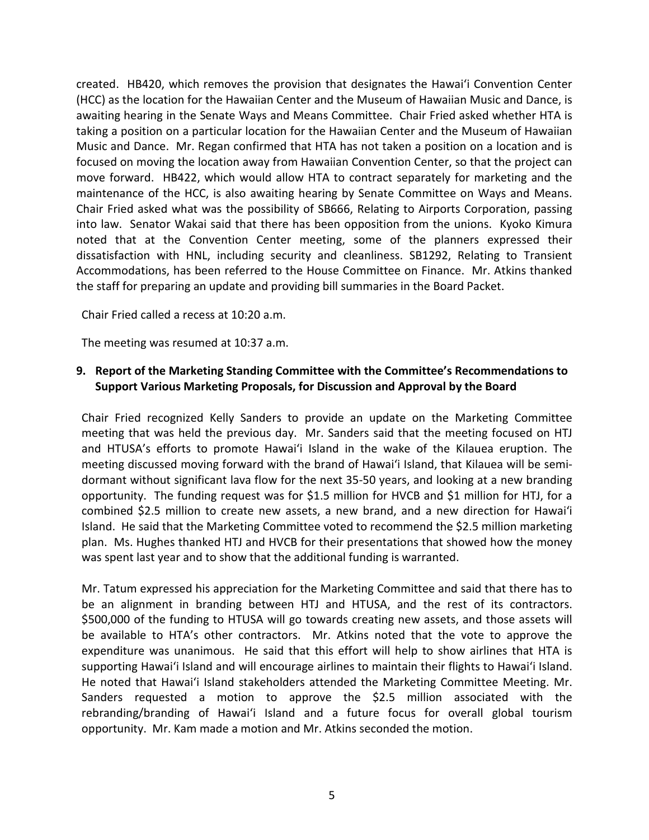created. HB420, which removes the provision that designates the Hawai'i Convention Center (HCC) as the location for the Hawaiian Center and the Museum of Hawaiian Music and Dance, is awaiting hearing in the Senate Ways and Means Committee. Chair Fried asked whether HTA is taking a position on a particular location for the Hawaiian Center and the Museum of Hawaiian Music and Dance. Mr. Regan confirmed that HTA has not taken a position on a location and is focused on moving the location away from Hawaiian Convention Center, so that the project can move forward. HB422, which would allow HTA to contract separately for marketing and the maintenance of the HCC, is also awaiting hearing by Senate Committee on Ways and Means. Chair Fried asked what was the possibility of SB666, Relating to Airports Corporation, passing into law. Senator Wakai said that there has been opposition from the unions. Kyoko Kimura noted that at the Convention Center meeting, some of the planners expressed their dissatisfaction with HNL, including security and cleanliness. SB1292, Relating to Transient Accommodations, has been referred to the House Committee on Finance. Mr. Atkins thanked the staff for preparing an update and providing bill summaries in the Board Packet.

Chair Fried called a recess at 10:20 a.m.

The meeting was resumed at 10:37 a.m.

#### **9. Report of the Marketing Standing Committee with the Committee's Recommendations to Support Various Marketing Proposals, for Discussion and Approval by the Board**

Chair Fried recognized Kelly Sanders to provide an update on the Marketing Committee meeting that was held the previous day. Mr. Sanders said that the meeting focused on HTJ and HTUSA's efforts to promote Hawai'i Island in the wake of the Kilauea eruption. The meeting discussed moving forward with the brand of Hawai'i Island, that Kilauea will be semidormant without significant lava flow for the next 35-50 years, and looking at a new branding opportunity. The funding request was for \$1.5 million for HVCB and \$1 million for HTJ, for a combined \$2.5 million to create new assets, a new brand, and a new direction for Hawai'i Island. He said that the Marketing Committee voted to recommend the \$2.5 million marketing plan. Ms. Hughes thanked HTJ and HVCB for their presentations that showed how the money was spent last year and to show that the additional funding is warranted.

Mr. Tatum expressed his appreciation for the Marketing Committee and said that there has to be an alignment in branding between HTJ and HTUSA, and the rest of its contractors. \$500,000 of the funding to HTUSA will go towards creating new assets, and those assets will be available to HTA's other contractors. Mr. Atkins noted that the vote to approve the expenditure was unanimous. He said that this effort will help to show airlines that HTA is supporting Hawai'i Island and will encourage airlines to maintain their flights to Hawai'i Island. He noted that Hawai'i Island stakeholders attended the Marketing Committee Meeting. Mr. Sanders requested a motion to approve the \$2.5 million associated with the rebranding/branding of Hawai'i Island and a future focus for overall global tourism opportunity. Mr. Kam made a motion and Mr. Atkins seconded the motion.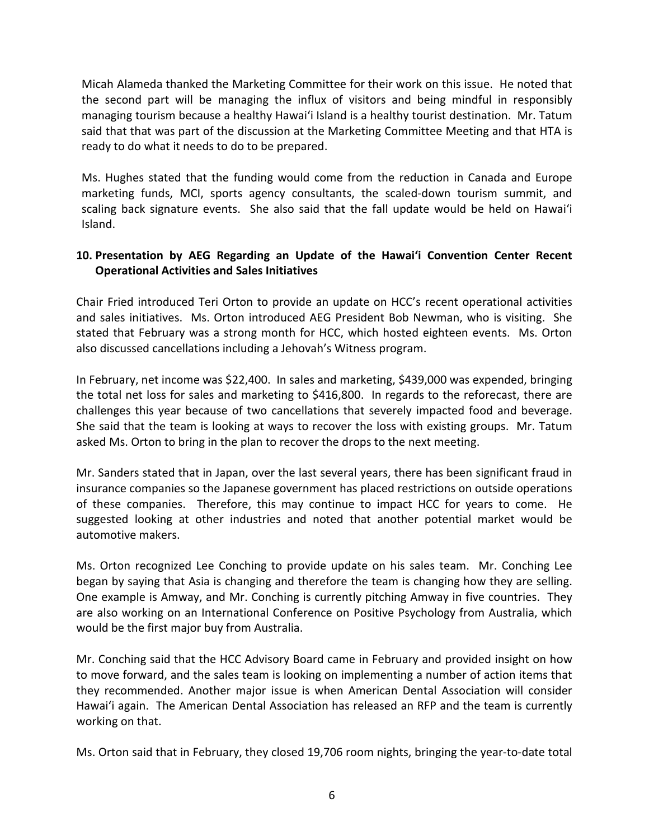Micah Alameda thanked the Marketing Committee for their work on this issue. He noted that the second part will be managing the influx of visitors and being mindful in responsibly managing tourism because a healthy Hawai'i Island is a healthy tourist destination. Mr. Tatum said that that was part of the discussion at the Marketing Committee Meeting and that HTA is ready to do what it needs to do to be prepared.

Ms. Hughes stated that the funding would come from the reduction in Canada and Europe marketing funds, MCI, sports agency consultants, the scaled-down tourism summit, and scaling back signature events. She also said that the fall update would be held on Hawai'i Island.

### **10. Presentation by AEG Regarding an Update of the Hawai'i Convention Center Recent Operational Activities and Sales Initiatives**

Chair Fried introduced Teri Orton to provide an update on HCC's recent operational activities and sales initiatives. Ms. Orton introduced AEG President Bob Newman, who is visiting. She stated that February was a strong month for HCC, which hosted eighteen events. Ms. Orton also discussed cancellations including a Jehovah's Witness program.

In February, net income was \$22,400. In sales and marketing, \$439,000 was expended, bringing the total net loss for sales and marketing to \$416,800. In regards to the reforecast, there are challenges this year because of two cancellations that severely impacted food and beverage. She said that the team is looking at ways to recover the loss with existing groups. Mr. Tatum asked Ms. Orton to bring in the plan to recover the drops to the next meeting.

Mr. Sanders stated that in Japan, over the last several years, there has been significant fraud in insurance companies so the Japanese government has placed restrictions on outside operations of these companies. Therefore, this may continue to impact HCC for years to come. He suggested looking at other industries and noted that another potential market would be automotive makers.

Ms. Orton recognized Lee Conching to provide update on his sales team. Mr. Conching Lee began by saying that Asia is changing and therefore the team is changing how they are selling. One example is Amway, and Mr. Conching is currently pitching Amway in five countries. They are also working on an International Conference on Positive Psychology from Australia, which would be the first major buy from Australia.

Mr. Conching said that the HCC Advisory Board came in February and provided insight on how to move forward, and the sales team is looking on implementing a number of action items that they recommended. Another major issue is when American Dental Association will consider Hawai'i again. The American Dental Association has released an RFP and the team is currently working on that.

Ms. Orton said that in February, they closed 19,706 room nights, bringing the year-to-date total